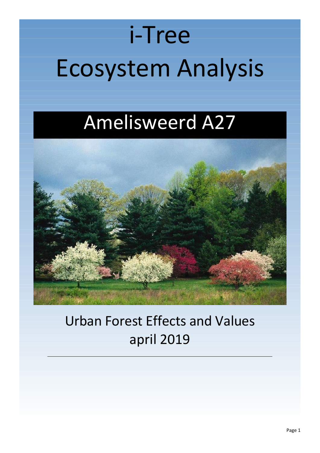# i-Tree Ecosystem Analysis

## Amelisweerd A27



## Urban Forest Effects and Values april 2019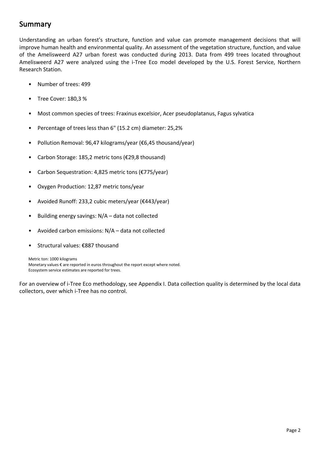## <span id="page-1-0"></span>**Summary**

Understanding an urban forest's structure, function and value can promote management decisions that will improve human health and environmental quality. An assessment of the vegetation structure, function, and value of the Amelisweerd A27 urban forest was conducted during 2013. Data from 499 trees located throughout Amelisweerd A27 were analyzed using the i-Tree Eco model developed by the U.S. Forest Service, Northern Research Station.

- Number of trees: 499
- Tree Cover: 180,3 %
- Most common species of trees: Fraxinus excelsior, Acer pseudoplatanus, Fagus sylvatica
- Percentage of trees less than 6" (15.2 cm) diameter: 25,2%
- Pollution Removal: 96,47 kilograms/year (€6,45 thousand/year)
- Carbon Storage: 185,2 metric tons (€29,8 thousand)
- Carbon Sequestration: 4,825 metric tons (€775/year)
- Oxygen Production: 12,87 metric tons/year
- Avoided Runoff: 233,2 cubic meters/year (€443/year)
- Building energy savings:  $N/A -$  data not collected
- Avoided carbon emissions: N/A data not collected
- Structural values: €887 thousand

Metric ton: 1000 kilograms Monetary values € are reported in euros throughout the report except where noted. Ecosystem service estimates are reported for trees.

For an overview of i-Tree Eco methodology, see Appendix I. Data collection quality is determined by the local data collectors, over which i-Tree has no control.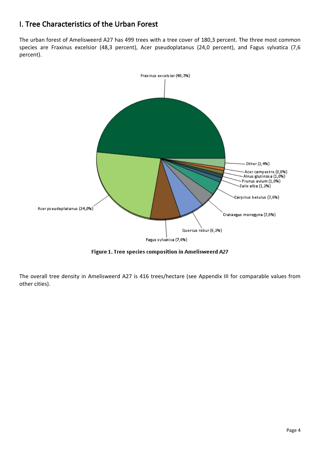## <span id="page-3-0"></span>**I. Tree Characteristics of the Urban Forest**

The urban forest of Amelisweerd A27 has 499 trees with a tree cover of 180,3 percent. The three most common species are Fraxinus excelsior (48,3 percent), Acer pseudoplatanus (24,0 percent), and Fagus sylvatica (7,6 percent).



Figure 1. Tree species composition in Amelisweerd A27

The overall tree density in Amelisweerd A27 is 416 trees/hectare (see Appendix III for comparable values from other cities).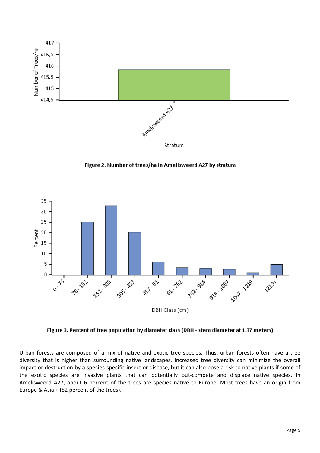

Figure 2. Number of trees/ha in Amelisweerd A27 by stratum



Figure 3. Percent of tree population by diameter class (DBH - stem diameter at 1.37 meters)

Urban forests are composed of a mix of native and exotic tree species. Thus, urban forests often have a tree diversity that is higher than surrounding native landscapes. Increased tree diversity can minimize the overall impact or destruction by a species-specific insect or disease, but it can also pose a risk to native plants if some of the exotic species are invasive plants that can potentially out-compete and displace native species. In Amelisweerd A27, about 6 percent of the trees are species native to Europe. Most trees have an origin from Europe & Asia + (52 percent of the trees).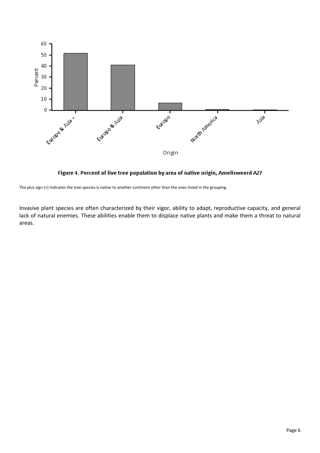

Figure 4. Percent of live tree population by area of native origin, Amelisweerd A27

The plus sign (+) indicates the tree species is native to another continent other than the ones listed in the grouping.

Invasive plant species are often characterized by their vigor, ability to adapt, reproductive capacity, and general lack of natural enemies. These abilities enable them to displace native plants and make them a threat to natural areas.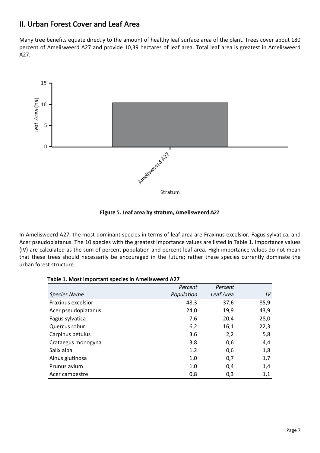### <span id="page-6-0"></span>**II. Urban Forest Cover and Leaf Area**

Many tree benefits equate directly to the amount of healthy leaf surface area of the plant. Trees cover about 180 percent of Amelisweerd A27 and provide 10,39 hectares of leaf area. Total leaf area is greatest in Amelisweerd A27.



Figure 5. Leaf area by stratum, Amelisweerd A27

In Amelisweerd A27, the most dominant species in terms of leaf area are Fraxinus excelsior, Fagus sylvatica, and Acer pseudoplatanus. The 10 species with the greatest importance values are listed in Table 1. Importance values (IV) are calculated as the sum of percent population and percent leaf area. High importance values do not mean that these trees should necessarily be encouraged in the future; rather these species currently dominate the urban forest structure.

| Table 1. MOSt important species in Amelisweerd AZ7 |            |           |      |  |
|----------------------------------------------------|------------|-----------|------|--|
|                                                    | Percent    | Percent   |      |  |
| <b>Species Name</b>                                | Population | Leaf Area | IV   |  |
| Fraxinus excelsior                                 | 48,3       | 37,6      | 85,9 |  |
| Acer pseudoplatanus                                | 24,0       | 19,9      | 43,9 |  |
| Fagus sylvatica                                    | 7,6        | 20,4      | 28,0 |  |
| Quercus robur                                      | 6,2        | 16,1      | 22,3 |  |
| Carpinus betulus                                   | 3,6        | 2,2       | 5,8  |  |
| Crataegus monogyna                                 | 3,8        | 0,6       | 4,4  |  |
| Salix alba                                         | 1,2        | 0,6       | 1,8  |  |
| Alnus glutinosa                                    | 1,0        | 0,7       | 1,7  |  |
| Prunus avium                                       | 1,0        | 0,4       | 1,4  |  |
| Acer campestre                                     | 0,8        | 0,3       | 1,1  |  |

#### **Table 1. Most important species in Amelisweerd A27**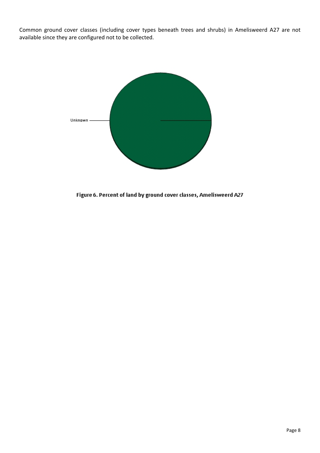Common ground cover classes (including cover types beneath trees and shrubs) in Amelisweerd A27 are not available since they are configured not to be collected.



Figure 6. Percent of land by ground cover classes, Amelisweerd A27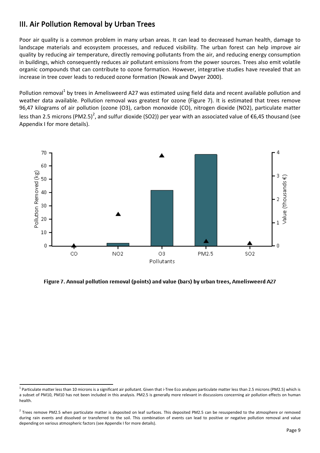## <span id="page-8-0"></span>**III. Air Pollution Removal by Urban Trees**

Poor air quality is a common problem in many urban areas. It can lead to decreased human health, damage to landscape materials and ecosystem processes, and reduced visibility. The urban forest can help improve air quality by reducing air temperature, directly removing pollutants from the air, and reducing energy consumption in buildings, which consequently reduces air pollutant emissions from the power sources. Trees also emit volatile organic compounds that can contribute to ozone formation. However, integrative studies have revealed that an increase in tree cover leads to reduced ozone formation (Nowak and Dwyer 2000).

Pollution removal<sup>1</sup> by trees in Amelisweerd A27 was estimated using field data and recent available pollution and weather data available. Pollution removal was greatest for ozone (Figure 7). It is estimated that trees remove 96,47 kilograms of air pollution (ozone (O3), carbon monoxide (CO), nitrogen dioxide (NO2), particulate matter less than 2.5 microns (PM2.5)<sup>2</sup>, and sulfur dioxide (SO2)) per year with an associated value of €6,45 thousand (see Appendix I for more details).



Figure 7. Annual pollution removal (points) and value (bars) by urban trees, Amelisweerd A27

 $^1$  Particulate matter less than 10 microns is a significant air pollutant. Given that i-Tree Eco analyzes particulate matter less than 2.5 microns (PM2.5) which is a subset of PM10, PM10 has not been included in this analysis. PM2.5 is generally more relevant in discussions concerning air pollution effects on human health.

 $^2$  Trees remove PM2.5 when particulate matter is deposited on leaf surfaces. This deposited PM2.5 can be resuspended to the atmosphere or removed during rain events and dissolved or transferred to the soil. This combination of events can lead to positive or negative pollution removal and value depending on various atmospheric factors (see Appendix I for more details).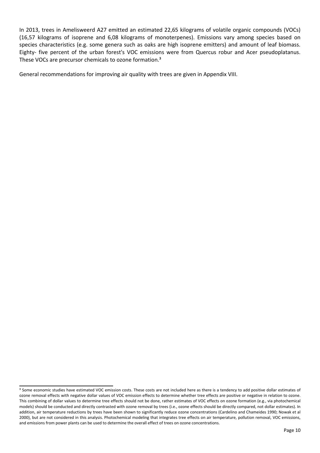In 2013, trees in Amelisweerd A27 emitted an estimated 22,65 kilograms of volatile organic compounds (VOCs) (16,57 kilograms of isoprene and 6,08 kilograms of monoterpenes). Emissions vary among species based on species characteristics (e.g. some genera such as oaks are high isoprene emitters) and amount of leaf biomass. Eighty- five percent of the urban forest's VOC emissions were from Quercus robur and Acer pseudoplatanus. These VOCs are precursor chemicals to ozone formation.<sup>3</sup>

General recommendations for improving air quality with trees are given in Appendix VIII.

<sup>&</sup>lt;sup>3</sup> Some economic studies have estimated VOC emission costs. These costs are not included here as there is a tendency to add positive dollar estimates of ozone removal effects with negative dollar values of VOC emission effects to determine whether tree effects are positive or negative in relation to ozone. This combining of dollar values to determine tree effects should not be done, rather estimates of VOC effects on ozone formation (e.g., via photochemical models) should be conducted and directly contrasted with ozone removal by trees (i.e., ozone effects should be directly compared, not dollar estimates). In addition, air temperature reductions by trees have been shown to significantly reduce ozone concentrations (Cardelino and Chameides 1990; Nowak et al 2000), but are not considered in this analysis. Photochemical modeling that integrates tree effects on air temperature, pollution removal, VOC emissions, and emissions from power plants can be used to determine the overall effect of trees on ozone concentrations.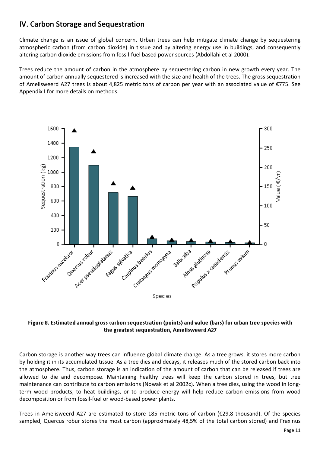## <span id="page-10-0"></span>**IV. Carbon Storage and Sequestration**

Climate change is an issue of global concern. Urban trees can help mitigate climate change by sequestering atmospheric carbon (from carbon dioxide) in tissue and by altering energy use in buildings, and consequently altering carbon dioxide emissions from fossil-fuel based power sources (Abdollahi et al 2000).

Trees reduce the amount of carbon in the atmosphere by sequestering carbon in new growth every year. The amount of carbon annually sequestered is increased with the size and health of the trees. The gross sequestration of Amelisweerd A27 trees is about 4,825 metric tons of carbon per year with an associated value of €775. See Appendix I for more details on methods.



#### Figure 8. Estimated annual gross carbon sequestration (points) and value (bars) for urban tree species with the greatest sequestration, Amelisweerd A27

Carbon storage is another way trees can influence global climate change. As a tree grows, it stores more carbon by holding it in its accumulated tissue. As a tree dies and decays, it releases much of the stored carbon back into the atmosphere. Thus, carbon storage is an indication of the amount of carbon that can be released if trees are allowed to die and decompose. Maintaining healthy trees will keep the carbon stored in trees, but tree maintenance can contribute to carbon emissions (Nowak et al 2002c). When a tree dies, using the wood in longterm wood products, to heat buildings, or to produce energy will help reduce carbon emissions from wood decomposition or from fossil-fuel or wood-based power plants.

Trees in Amelisweerd A27 are estimated to store 185 metric tons of carbon (€29,8 thousand). Of the species sampled, Quercus robur stores the most carbon (approximately 48,5% of the total carbon stored) and Fraxinus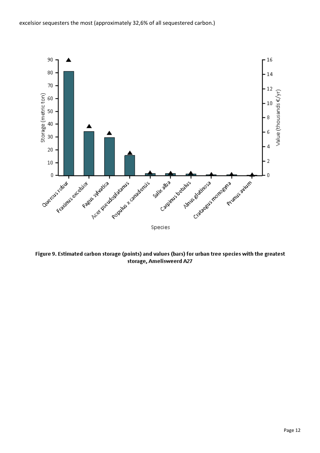

Figure 9. Estimated carbon storage (points) and values (bars) for urban tree species with the greatest storage, Amelisweerd A27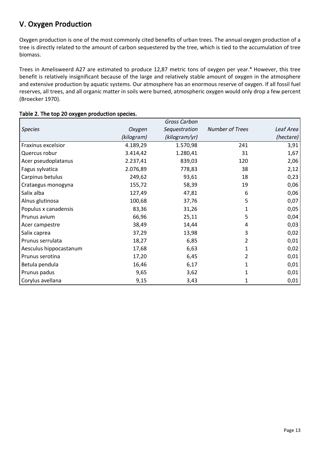## <span id="page-12-0"></span>**V. Oxygen Production**

Oxygen production is one of the most commonly cited benefits of urban trees. The annual oxygen production of a tree is directly related to the amount of carbon sequestered by the tree, which is tied to the accumulation of tree biomass.

Trees in Amelisweerd A27 are estimated to produce 12,87 metric tons of oxygen per year.<sup>4</sup> However, this tree benefit is relatively insignificant because of the large and relatively stable amount of oxygen in the atmosphere and extensive production by aquatic systems. Our atmosphere has an enormous reserve of oxygen. If all fossil fuel reserves, all trees, and all organic matter in soils were burned, atmospheric oxygen would only drop a few percent (Broecker 1970).

|                        |            | Gross Carbon  |                        |           |
|------------------------|------------|---------------|------------------------|-----------|
| <b>Species</b>         | Oxygen     | Sequestration | <b>Number of Trees</b> | Leaf Area |
|                        | (kilogram) | (kilogram/yr) |                        | (hectare) |
| Fraxinus excelsior     | 4.189,29   | 1.570,98      | 241                    | 3,91      |
| Quercus robur          | 3.414,42   | 1.280,41      | 31                     | 1,67      |
| Acer pseudoplatanus    | 2.237,41   | 839,03        | 120                    | 2,06      |
| Fagus sylvatica        | 2.076,89   | 778,83        | 38                     | 2,12      |
| Carpinus betulus       | 249,62     | 93,61         | 18                     | 0,23      |
| Crataegus monogyna     | 155,72     | 58,39         | 19                     | 0,06      |
| Salix alba             | 127,49     | 47,81         | 6                      | 0,06      |
| Alnus glutinosa        | 100,68     | 37,76         | 5                      | 0,07      |
| Populus x canadensis   | 83,36      | 31,26         | 1                      | 0,05      |
| Prunus avium           | 66,96      | 25,11         | 5                      | 0,04      |
| Acer campestre         | 38,49      | 14,44         | 4                      | 0,03      |
| Salix caprea           | 37,29      | 13,98         | 3                      | 0,02      |
| Prunus serrulata       | 18,27      | 6,85          | 2                      | 0,01      |
| Aesculus hippocastanum | 17,68      | 6,63          | 1                      | 0,02      |
| Prunus serotina        | 17,20      | 6,45          | 2                      | 0,01      |
| Betula pendula         | 16,46      | 6,17          | 1                      | 0,01      |
| Prunus padus           | 9,65       | 3,62          | 1                      | 0,01      |
| Corylus avellana       | 9,15       | 3,43          | 1                      | 0,01      |

#### **Table 2. The top 20 oxygen production species.**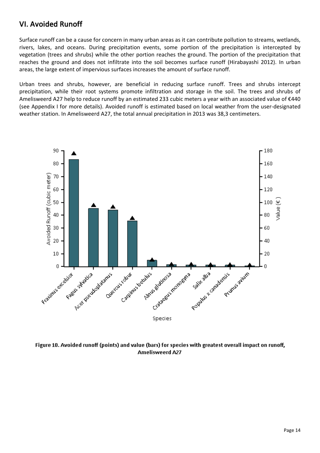## <span id="page-13-0"></span>**VI. Avoided Runoff**

Surface runoff can be a cause for concern in many urban areas as it can contribute pollution to streams, wetlands, rivers, lakes, and oceans. During precipitation events, some portion of the precipitation is intercepted by vegetation (trees and shrubs) while the other portion reaches the ground. The portion of the precipitation that reaches the ground and does not infiltrate into the soil becomes surface runoff (Hirabayashi 2012). In urban areas, the large extent of impervious surfaces increases the amount of surface runoff.

Urban trees and shrubs, however, are beneficial in reducing surface runoff. Trees and shrubs intercept precipitation, while their root systems promote infiltration and storage in the soil. The trees and shrubs of Amelisweerd A27 help to reduce runoff by an estimated 233 cubic meters a year with an associated value of €440 (see Appendix I for more details). Avoided runoff is estimated based on local weather from the user-designated weather station. In Amelisweerd A27, the total annual precipitation in 2013 was 38,3 centimeters.



Figure 10. Avoided runoff (points) and value (bars) for species with greatest overall impact on runoff, **Amelisweerd A27**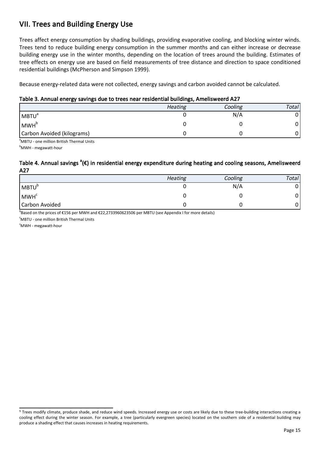## <span id="page-14-0"></span>**VII. Trees and Building Energy Use**

Trees affect energy consumption by shading buildings, providing evaporative cooling, and blocking winter winds. Trees tend to reduce building energy consumption in the summer months and can either increase or decrease building energy use in the winter months, depending on the location of trees around the building. Estimates of tree effects on energy use are based on field measurements of tree distance and direction to space conditioned residential buildings (McPherson and Simpson 1999).

Because energy-related data were not collected, energy savings and carbon avoided cannot be calculated.

#### **Table 3. Annual energy savings due to trees near residential buildings, Amelisweerd A27**

|                            | <b>Heating</b> | Cooling | Total |
|----------------------------|----------------|---------|-------|
| <b>MBTU</b> <sup>a</sup>   |                | N/A     | 01    |
| MWH <sup>b</sup>           |                |         |       |
| Carbon Avoided (kilograms) |                |         |       |

<sup>a</sup>MBTU - one million British Thermal Units

<sup>b</sup>MWH - megawatt-hour

#### **Table 4. Annual savings <sup>a</sup> (€) in residential energy expenditure during heating and cooling seasons, Amelisweerd A27**

|                       | Heating | Cooling | Total |
|-----------------------|---------|---------|-------|
| MBTU <sup>b</sup>     |         | N/A     |       |
| MWH <sup>c</sup>      |         |         | 0'    |
| <b>Carbon Avoided</b> |         |         |       |

b<br>Based on the prices of €156 per MWH and €22,2733960623506 per MBTU (see Appendix I for more details)

<sup>c</sup>MBTU - one million British Thermal Units

 $\textdegree$ MWH - megawatt-hour

<sup>&</sup>lt;sup>5</sup> Trees modify climate, produce shade, and reduce wind speeds. Increased energy use or costs are likely due to these tree-building interactions creating a cooling effect during the winter season. For example, a tree (particularly evergreen species) located on the southern side of a residential building may produce a shading effect that causes increases in heating requirements.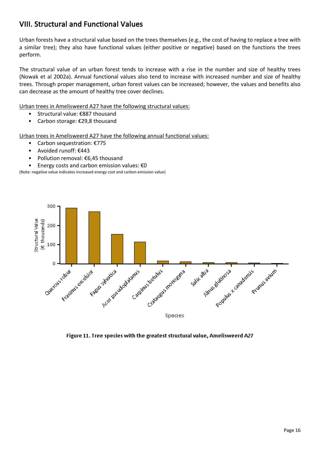## <span id="page-15-0"></span>**VIII. Structural and Functional Values**

Urban forests have a structural value based on the trees themselves (e.g., the cost of having to replace a tree with a similar tree); they also have functional values (either positive or negative) based on the functions the trees perform.

The structural value of an urban forest tends to increase with a rise in the number and size of healthy trees (Nowak et al 2002a). Annual functional values also tend to increase with increased number and size of healthy trees. Through proper management, urban forest values can be increased; however, the values and benefits also can decrease as the amount of healthy tree cover declines.

Urban trees in Amelisweerd A27 have the following structural values:

- Structural value: €887 thousand
- Carbon storage: €29,8 thousand

Urban trees in Amelisweerd A27 have the following annual functional values:

- Carbon sequestration: €775
- Avoided runoff: €443
- Pollution removal: €6,45 thousand
- Energy costs and carbon emission values: €0

(Note: negative value indicates increased energy cost and carbon emission value)



Figure 11. Tree species with the greatest structural value, Amelisweerd A27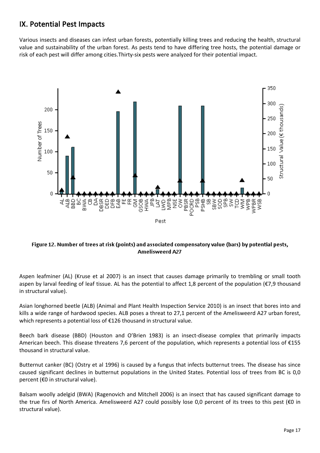## <span id="page-16-0"></span>**IX. Potential Pest Impacts**

Various insects and diseases can infest urban forests, potentially killing trees and reducing the health, structural value and sustainability of the urban forest. As pests tend to have differing tree hosts, the potential damage or risk of each pest will differ among cities.Thirty-six pests were analyzed for their potential impact.



Figure 12. Number of trees at risk (points) and associated compensatory value (bars) by potential pests, **Amelisweerd A27** 

Aspen leafminer (AL) (Kruse et al 2007) is an insect that causes damage primarily to trembling or small tooth aspen by larval feeding of leaf tissue. AL has the potential to affect 1,8 percent of the population (€7,9 thousand in structural value).

Asian longhorned beetle (ALB) (Animal and Plant Health Inspection Service 2010) is an insect that bores into and kills a wide range of hardwood species. ALB poses a threat to 27,1 percent of the Amelisweerd A27 urban forest, which represents a potential loss of €126 thousand in structural value.

Beech bark disease (BBD) (Houston and O'Brien 1983) is an insect-disease complex that primarily impacts American beech. This disease threatens 7,6 percent of the population, which represents a potential loss of €155 thousand in structural value.

Butternut canker (BC) (Ostry et al 1996) is caused by a fungus that infects butternut trees. The disease has since caused significant declines in butternut populations in the United States. Potential loss of trees from BC is 0,0 percent (€0 in structural value).

Balsam woolly adelgid (BWA) (Ragenovich and Mitchell 2006) is an insect that has caused significant damage to the true firs of North America. Amelisweerd A27 could possibly lose 0,0 percent of its trees to this pest (€0 in structural value).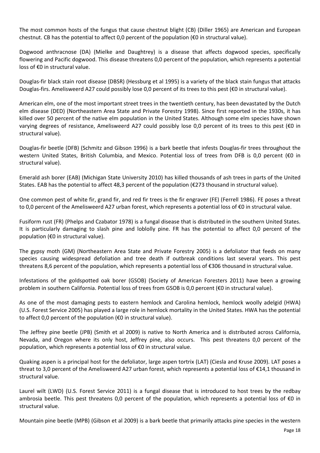The most common hosts of the fungus that cause chestnut blight (CB) (Diller 1965) are American and European chestnut. CB has the potential to affect 0,0 percent of the population ( $\epsilon$ 0 in structural value).

Dogwood anthracnose (DA) (Mielke and Daughtrey) is a disease that affects dogwood species, specifically flowering and Pacific dogwood. This disease threatens 0,0 percent of the population, which represents a potential loss of €0 in structural value.

Douglas-fir black stain root disease (DBSR) (Hessburg et al 1995) is a variety of the black stain fungus that attacks Douglas-firs. Amelisweerd A27 could possibly lose 0,0 percent of its trees to this pest (€0 in structural value).

American elm, one of the most important street trees in the twentieth century, has been devastated by the Dutch elm disease (DED) (Northeastern Area State and Private Forestry 1998). Since first reported in the 1930s, it has killed over 50 percent of the native elm population in the United States. Although some elm species have shown varying degrees of resistance, Amelisweerd A27 could possibly lose 0,0 percent of its trees to this pest (€0 in structural value).

Douglas-fir beetle (DFB) (Schmitz and Gibson 1996) is a bark beetle that infests Douglas-fir trees throughout the western United States, British Columbia, and Mexico. Potential loss of trees from DFB is 0,0 percent (€0 in structural value).

Emerald ash borer (EAB) (Michigan State University 2010) has killed thousands of ash trees in parts of the United States. EAB has the potential to affect 48,3 percent of the population (€273 thousand in structural value).

One common pest of white fir, grand fir, and red fir trees is the fir engraver (FE) (Ferrell 1986). FE poses a threat to 0,0 percent of the Amelisweerd A27 urban forest, which represents a potential loss of €0 in structural value.

Fusiform rust (FR) (Phelps and Czabator 1978) is a fungal disease that is distributed in the southern United States. It is particularly damaging to slash pine and loblolly pine. FR has the potential to affect 0,0 percent of the population (€0 in structural value).

The gypsy moth (GM) (Northeastern Area State and Private Forestry 2005) is a defoliator that feeds on many species causing widespread defoliation and tree death if outbreak conditions last several years. This pest threatens 8,6 percent of the population, which represents a potential loss of €306 thousand in structural value.

Infestations of the goldspotted oak borer (GSOB) (Society of American Foresters 2011) have been a growing problem in southern California. Potential loss of trees from GSOB is 0,0 percent (€0 in structural value).

As one of the most damaging pests to eastern hemlock and Carolina hemlock, hemlock woolly adelgid (HWA) (U.S. Forest Service 2005) has played a large role in hemlock mortality in the United States. HWA has the potential to affect 0,0 percent of the population ( $\epsilon$ 0 in structural value).

The Jeffrey pine beetle (JPB) (Smith et al 2009) is native to North America and is distributed across California, Nevada, and Oregon where its only host, Jeffrey pine, also occurs. This pest threatens 0,0 percent of the population, which represents a potential loss of €0 in structural value.

Quaking aspen is a principal host for the defoliator, large aspen tortrix (LAT) (Ciesla and Kruse 2009). LAT poses a threat to 3,0 percent of the Amelisweerd A27 urban forest, which represents a potential loss of €14,1 thousand in structural value.

Laurel wilt (LWD) (U.S. Forest Service 2011) is a fungal disease that is introduced to host trees by the redbay ambrosia beetle. This pest threatens 0,0 percent of the population, which represents a potential loss of €0 in structural value.

Mountain pine beetle (MPB) (Gibson et al 2009) is a bark beetle that primarily attacks pine species in the western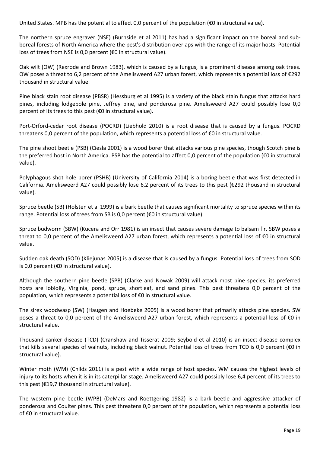United States. MPB has the potential to affect 0,0 percent of the population (€0 in structural value).

The northern spruce engraver (NSE) (Burnside et al 2011) has had a significant impact on the boreal and subboreal forests of North America where the pest's distribution overlaps with the range of its major hosts. Potential loss of trees from NSE is 0,0 percent (€0 in structural value).

Oak wilt (OW) (Rexrode and Brown 1983), which is caused by a fungus, is a prominent disease among oak trees. OW poses a threat to 6,2 percent of the Amelisweerd A27 urban forest, which represents a potential loss of €292 thousand in structural value.

Pine black stain root disease (PBSR) (Hessburg et al 1995) is a variety of the black stain fungus that attacks hard pines, including lodgepole pine, Jeffrey pine, and ponderosa pine. Amelisweerd A27 could possibly lose 0,0 percent of its trees to this pest (€0 in structural value).

Port-Orford-cedar root disease (POCRD) (Liebhold 2010) is a root disease that is caused by a fungus. POCRD threatens 0,0 percent of the population, which represents a potential loss of €0 in structural value.

The pine shoot beetle (PSB) (Ciesla 2001) is a wood borer that attacks various pine species, though Scotch pine is the preferred host in North America. PSB has the potential to affect 0,0 percent of the population (€0 in structural value).

Polyphagous shot hole borer (PSHB) (University of California 2014) is a boring beetle that was first detected in California. Amelisweerd A27 could possibly lose 6,2 percent of its trees to this pest (€292 thousand in structural value).

Spruce beetle (SB) (Holsten et al 1999) is a bark beetle that causes significant mortality to spruce species within its range. Potential loss of trees from SB is 0,0 percent (€0 in structural value).

Spruce budworm (SBW) (Kucera and Orr 1981) is an insect that causes severe damage to balsam fir. SBW poses a threat to 0,0 percent of the Amelisweerd A27 urban forest, which represents a potential loss of €0 in structural value.

Sudden oak death (SOD) (Kliejunas 2005) is a disease that is caused by a fungus. Potential loss of trees from SOD is 0,0 percent (€0 in structural value).

Although the southern pine beetle (SPB) (Clarke and Nowak 2009) will attack most pine species, its preferred hosts are loblolly, Virginia, pond, spruce, shortleaf, and sand pines. This pest threatens 0,0 percent of the population, which represents a potential loss of €0 in structural value.

The sirex woodwasp (SW) (Haugen and Hoebeke 2005) is a wood borer that primarily attacks pine species. SW poses a threat to 0,0 percent of the Amelisweerd A27 urban forest, which represents a potential loss of €0 in structural value.

Thousand canker disease (TCD) (Cranshaw and Tisserat 2009; Seybold et al 2010) is an insect-disease complex that kills several species of walnuts, including black walnut. Potential loss of trees from TCD is 0,0 percent (€0 in structural value).

Winter moth (WM) (Childs 2011) is a pest with a wide range of host species. WM causes the highest levels of injury to its hosts when it is in its caterpillar stage. Amelisweerd A27 could possibly lose 6,4 percent of its trees to this pest (€19,7 thousand in structural value).

The western pine beetle (WPB) (DeMars and Roettgering 1982) is a bark beetle and aggressive attacker of ponderosa and Coulter pines. This pest threatens 0,0 percent of the population, which represents a potential loss of €0 in structural value.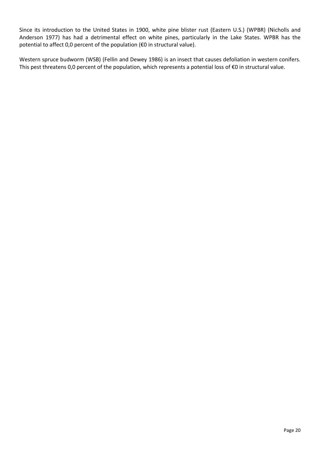Since its introduction to the United States in 1900, white pine blister rust (Eastern U.S.) (WPBR) (Nicholls and Anderson 1977) has had a detrimental effect on white pines, particularly in the Lake States. WPBR has the potential to affect 0,0 percent of the population (€0 in structural value).

Western spruce budworm (WSB) (Fellin and Dewey 1986) is an insect that causes defoliation in western conifers. This pest threatens 0,0 percent of the population, which represents a potential loss of €0 in structural value.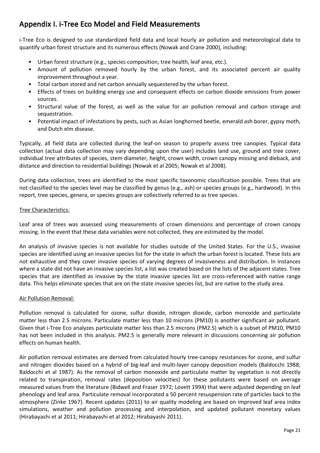## <span id="page-20-0"></span>**Appendix I. i-Tree Eco Model and Field Measurements**

i-Tree Eco is designed to use standardized field data and local hourly air pollution and meteorological data to quantify urban forest structure and its numerous effects (Nowak and Crane 2000), including:

- Urban forest structure (e.g., species composition, tree health, leaf area, etc.).
- Amount of pollution removed hourly by the urban forest, and its associated percent air quality improvement throughout a year.
- Total carbon stored and net carbon annually sequestered by the urban forest.
- Effects of trees on building energy use and consequent effects on carbon dioxide emissions from power sources.
- Structural value of the forest, as well as the value for air pollution removal and carbon storage and sequestration.
- Potential impact of infestations by pests, such as Asian longhorned beetle, emerald ash borer, gypsy moth, and Dutch elm disease.

Typically, all field data are collected during the leaf-on season to properly assess tree canopies. Typical data collection (actual data collection may vary depending upon the user) includes land use, ground and tree cover, individual tree attributes of species, stem diameter, height, crown width, crown canopy missing and dieback, and distance and direction to residential buildings (Nowak et al 2005; Nowak et al 2008).

During data collection, trees are identified to the most specific taxonomic classification possible. Trees that are not classified to the species level may be classified by genus (e.g., ash) or species groups (e.g., hardwood). In this report, tree species, genera, or species groups are collectively referred to as tree species.

#### Tree Characteristics:

Leaf area of trees was assessed using measurements of crown dimensions and percentage of crown canopy missing. In the event that these data variables were not collected, they are estimated by the model.

An analysis of invasive species is not available for studies outside of the United States. For the U.S., invasive species are identified using an invasive species list for the state in which the urban forest is located. These lists are not exhaustive and they cover invasive species of varying degrees of invasiveness and distribution. In instances where a state did not have an invasive species list, a list was created based on the lists of the adjacent states. Tree species that are identified as invasive by the state invasive species list are cross-referenced with native range data. This helps eliminate species that are on the state invasive species list, but are native to the study area.

#### Air Pollution Removal:

Pollution removal is calculated for ozone, sulfur dioxide, nitrogen dioxide, carbon monoxide and particulate matter less than 2.5 microns. Particulate matter less than 10 microns (PM10) is another significant air pollutant. Given that i-Tree Eco analyzes particulate matter less than 2.5 microns (PM2.5) which is a subset of PM10, PM10 has not been included in this analysis. PM2.5 is generally more relevant in discussions concerning air pollution effects on human health.

Air pollution removal estimates are derived from calculated hourly tree-canopy resistances for ozone, and sulfur and nitrogen dioxides based on a hybrid of big-leaf and multi-layer canopy deposition models (Baldocchi 1988; Baldocchi et al 1987). As the removal of carbon monoxide and particulate matter by vegetation is not directly related to transpiration, removal rates (deposition velocities) for these pollutants were based on average measured values from the literature (Bidwell and Fraser 1972; Lovett 1994) that were adjusted depending on leaf phenology and leaf area. Particulate removal incorporated a 50 percent resuspension rate of particles back to the atmosphere (Zinke 1967). Recent updates (2011) to air quality modeling are based on improved leaf area index simulations, weather and pollution processing and interpolation, and updated pollutant monetary values (Hirabayashi et al 2011; Hirabayashi et al 2012; Hirabayashi 2011).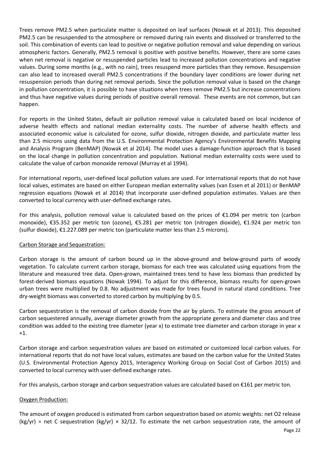Trees remove PM2.5 when particulate matter is deposited on leaf surfaces (Nowak et al 2013). This deposited PM2.5 can be resuspended to the atmosphere or removed during rain events and dissolved or transferred to the soil. This combination of events can lead to positive or negative pollution removal and value depending on various atmospheric factors. Generally, PM2.5 removal is positive with positive benefits. However, there are some cases when net removal is negative or resuspended particles lead to increased pollution concentrations and negative values. During some months (e.g., with no rain), trees resuspend more particles than they remove. Resuspension can also lead to increased overall PM2.5 concentrations if the boundary layer conditions are lower during net resuspension periods than during net removal periods. Since the pollution removal value is based on the change in pollution concentration, it is possible to have situations when trees remove PM2.5 but increase concentrations and thus have negative values during periods of positive overall removal. These events are not common, but can happen.

For reports in the United States, default air pollution removal value is calculated based on local incidence of adverse health effects and national median externality costs. The number of adverse health effects and associated economic value is calculated for ozone, sulfur dioxide, nitrogen dioxide, and particulate matter less than 2.5 microns using data from the U.S. Environmental Protection Agency's Environmental Benefits Mapping and Analysis Program (BenMAP) (Nowak et al 2014). The model uses a damage-function approach that is based on the local change in pollution concentration and population. National median externality costs were used to calculate the value of carbon monoxide removal (Murray et al 1994).

For international reports, user-defined local pollution values are used. For international reports that do not have local values, estimates are based on either European median externality values (van Essen et al 2011) or BenMAP regression equations (Nowak et al 2014) that incorporate user-defined population estimates. Values are then converted to local currency with user-defined exchange rates.

For this analysis, pollution removal value is calculated based on the prices of  $\epsilon$ 1.094 per metric ton (carbon monoxide), €35.352 per metric ton (ozone), €5.281 per metric ton (nitrogen dioxide), €1.924 per metric ton (sulfur dioxide), €1.227.089 per metric ton (particulate matter less than 2.5 microns).

#### Carbon Storage and Sequestration:

Carbon storage is the amount of carbon bound up in the above-ground and below-ground parts of woody vegetation. To calculate current carbon storage, biomass for each tree was calculated using equations from the literature and measured tree data. Open-grown, maintained trees tend to have less biomass than predicted by forest-derived biomass equations (Nowak 1994). To adjust for this difference, biomass results for open-grown urban trees were multiplied by 0.8. No adjustment was made for trees found in natural stand conditions. Tree dry-weight biomass was converted to stored carbon by multiplying by 0.5.

Carbon sequestration is the removal of carbon dioxide from the air by plants. To estimate the gross amount of carbon sequestered annually, average diameter growth from the appropriate genera and diameter class and tree condition was added to the existing tree diameter (year x) to estimate tree diameter and carbon storage in year x +1.

Carbon storage and carbon sequestration values are based on estimated or customized local carbon values. For international reports that do not have local values, estimates are based on the carbon value for the United States (U.S. Environmental Protection Agency 2015, Interagency Working Group on Social Cost of Carbon 2015) and converted to local currency with user-defined exchange rates.

For this analysis, carbon storage and carbon sequestration values are calculated based on €161 per metric ton.

#### Oxygen Production:

The amount of oxygen produced is estimated from carbon sequestration based on atomic weights: net O2 release (kg/yr) = net C sequestration (kg/yr)  $\times$  32/12. To estimate the net carbon sequestration rate, the amount of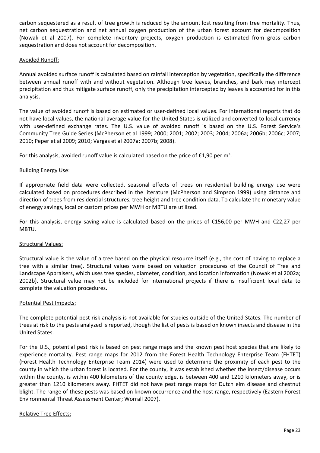carbon sequestered as a result of tree growth is reduced by the amount lost resulting from tree mortality. Thus, net carbon sequestration and net annual oxygen production of the urban forest account for decomposition (Nowak et al 2007). For complete inventory projects, oxygen production is estimated from gross carbon sequestration and does not account for decomposition.

#### Avoided Runoff:

Annual avoided surface runoff is calculated based on rainfall interception by vegetation, specifically the difference between annual runoff with and without vegetation. Although tree leaves, branches, and bark may intercept precipitation and thus mitigate surface runoff, only the precipitation intercepted by leaves is accounted for in this analysis.

The value of avoided runoff is based on estimated or user-defined local values. For international reports that do not have local values, the national average value for the United States is utilized and converted to local currency with user-defined exchange rates. The U.S. value of avoided runoff is based on the U.S. Forest Service's Community Tree Guide Series (McPherson et al 1999; 2000; 2001; 2002; 2003; 2004; 2006a; 2006b; 2006c; 2007; 2010; Peper et al 2009; 2010; Vargas et al 2007a; 2007b; 2008).

For this analysis, avoided runoff value is calculated based on the price of  $\epsilon$ 1,90 per m<sup>3</sup>.

#### Building Energy Use:

If appropriate field data were collected, seasonal effects of trees on residential building energy use were calculated based on procedures described in the literature (McPherson and Simpson 1999) using distance and direction of trees from residential structures, tree height and tree condition data. To calculate the monetary value of energy savings, local or custom prices per MWH or MBTU are utilized.

For this analysis, energy saving value is calculated based on the prices of €156,00 per MWH and €22,27 per MBTU.

#### Structural Values:

Structural value is the value of a tree based on the physical resource itself (e.g., the cost of having to replace a tree with a similar tree). Structural values were based on valuation procedures of the Council of Tree and Landscape Appraisers, which uses tree species, diameter, condition, and location information (Nowak et al 2002a; 2002b). Structural value may not be included for international projects if there is insufficient local data to complete the valuation procedures.

#### Potential Pest Impacts:

The complete potential pest risk analysis is not available for studies outside of the United States. The number of trees at risk to the pests analyzed is reported, though the list of pests is based on known insects and disease in the United States.

For the U.S., potential pest risk is based on pest range maps and the known pest host species that are likely to experience mortality. Pest range maps for 2012 from the Forest Health Technology Enterprise Team (FHTET) (Forest Health Technology Enterprise Team 2014) were used to determine the proximity of each pest to the county in which the urban forest is located. For the county, it was established whether the insect/disease occurs within the county, is within 400 kilometers of the county edge, is between 400 and 1210 kilometers away, or is greater than 1210 kilometers away. FHTET did not have pest range maps for Dutch elm disease and chestnut blight. The range of these pests was based on known occurrence and the host range, respectively (Eastern Forest Environmental Threat Assessment Center; Worrall 2007).

#### Relative Tree Effects: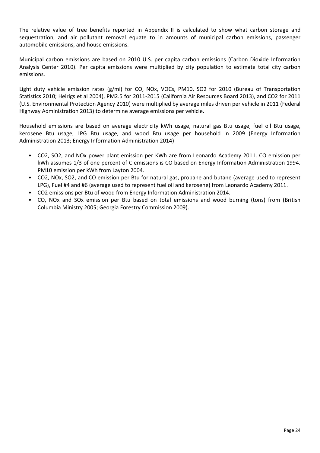The relative value of tree benefits reported in Appendix II is calculated to show what carbon storage and sequestration, and air pollutant removal equate to in amounts of municipal carbon emissions, passenger automobile emissions, and house emissions.

Municipal carbon emissions are based on 2010 U.S. per capita carbon emissions (Carbon Dioxide Information Analysis Center 2010). Per capita emissions were multiplied by city population to estimate total city carbon emissions.

Light duty vehicle emission rates (g/mi) for CO, NOx, VOCs, PM10, SO2 for 2010 (Bureau of Transportation Statistics 2010; Heirigs et al 2004), PM2.5 for 2011-2015 (California Air Resources Board 2013), and CO2 for 2011 (U.S. Environmental Protection Agency 2010) were multiplied by average miles driven per vehicle in 2011 (Federal Highway Administration 2013) to determine average emissions per vehicle.

Household emissions are based on average electricity kWh usage, natural gas Btu usage, fuel oil Btu usage, kerosene Btu usage, LPG Btu usage, and wood Btu usage per household in 2009 (Energy Information Administration 2013; Energy Information Administration 2014)

- CO2, SO2, and NOx power plant emission per KWh are from Leonardo Academy 2011. CO emission per kWh assumes 1/3 of one percent of C emissions is CO based on Energy Information Administration 1994. PM10 emission per kWh from Layton 2004.
- CO2, NOx, SO2, and CO emission per Btu for natural gas, propane and butane (average used to represent LPG), Fuel #4 and #6 (average used to represent fuel oil and kerosene) from Leonardo Academy 2011.
- CO2 emissions per Btu of wood from Energy Information Administration 2014.
- CO, NOx and SOx emission per Btu based on total emissions and wood burning (tons) from (British Columbia Ministry 2005; Georgia Forestry Commission 2009).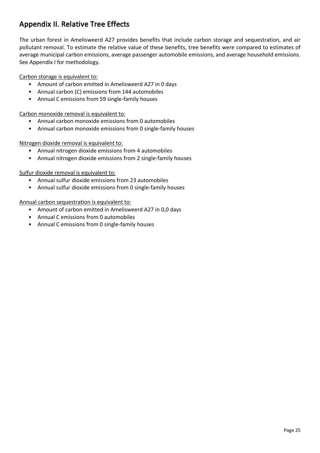## <span id="page-24-0"></span>**Appendix II. Relative Tree Effects**

The urban forest in Amelisweerd A27 provides benefits that include carbon storage and sequestration, and air pollutant removal. To estimate the relative value of these benefits, tree benefits were compared to estimates of average municipal carbon emissions, average passenger automobile emissions, and average household emissions. See Appendix I for methodology.

Carbon storage is equivalent to:

- Amount of carbon emitted in Amelisweerd A27 in 0 days
- Annual carbon (C) emissions from 144 automobiles
- Annual C emissions from 59 single-family houses

Carbon monoxide removal is equivalent to:

- Annual carbon monoxide emissions from 0 automobiles
- Annual carbon monoxide emissions from 0 single-family houses

Nitrogen dioxide removal is equivalent to:

- Annual nitrogen dioxide emissions from 4 automobiles
- Annual nitrogen dioxide emissions from 2 single-family houses

Sulfur dioxide removal is equivalent to:

- Annual sulfur dioxide emissions from 23 automobiles
- Annual sulfur dioxide emissions from 0 single-family houses

Annual carbon sequestration is equivalent to:

- Amount of carbon emitted in Amelisweerd A27 in 0,0 days
- Annual C emissions from 0 automobiles
- Annual C emissions from 0 single-family houses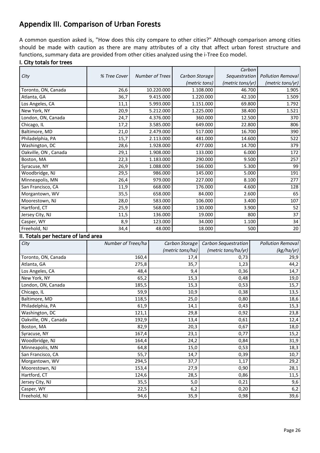## <span id="page-25-0"></span>**Appendix III. Comparison of Urban Forests**

A common question asked is, "How does this city compare to other cities?" Although comparison among cities should be made with caution as there are many attributes of a city that affect urban forest structure and functions, summary data are provided from other cities analyzed using the i-Tree Eco model.

#### **I. City totals for trees**

|                      |              |                        |                | Carbon           |                          |
|----------------------|--------------|------------------------|----------------|------------------|--------------------------|
| City                 | % Tree Cover | <b>Number of Trees</b> | Carbon Storage | Sequestration    | <b>Pollution Removal</b> |
|                      |              |                        | (metric tons)  | (metric tons/yr) | (metric tons/yr)         |
| Toronto, ON, Canada  | 26,6         | 10.220.000             | 1.108.000      | 46.700           | 1.905                    |
| Atlanta, GA          | 36,7         | 9.415.000              | 1.220.000      | 42.100           | 1.509                    |
| Los Angeles, CA      | 11,1         | 5.993.000              | 1.151.000      | 69.800           | 1.792                    |
| New York, NY         | 20,9         | 5.212.000              | 1.225.000      | 38.400           | 1.521                    |
| London, ON, Canada   | 24,7         | 4.376.000              | 360.000        | 12.500           | 370                      |
| Chicago, IL          | 17,2         | 3.585.000              | 649.000        | 22.800           | 806                      |
| Baltimore, MD        | 21,0         | 2.479.000              | 517.000        | 16.700           | 390                      |
| Philadelphia, PA     | 15,7         | 2.113.000              | 481.000        | 14.600           | 522                      |
| Washington, DC       | 28,6         | 1.928.000              | 477.000        | 14.700           | 379                      |
| Oakville, ON, Canada | 29,1         | 1.908.000              | 133.000        | 6.000            | 172                      |
| Boston, MA           | 22,3         | 1.183.000              | 290.000        | 9.500            | 257                      |
| Syracuse, NY         | 26,9         | 1.088.000              | 166.000        | 5.300            | 99                       |
| Woodbridge, NJ       | 29,5         | 986.000                | 145.000        | 5.000            | 191                      |
| Minneapolis, MN      | 26,4         | 979.000                | 227.000        | 8.100            | 277                      |
| San Francisco, CA    | 11,9         | 668.000                | 176.000        | 4.600            | 128                      |
| Morgantown, WV       | 35,5         | 658.000                | 84.000         | 2.600            | 65                       |
| Moorestown, NJ       | 28,0         | 583.000                | 106.000        | 3.400            | 107                      |
| Hartford, CT         | 25,9         | 568.000                | 130.000        | 3.900            | 52                       |
| Jersey City, NJ      | 11,5         | 136.000                | 19.000         | 800              | 37                       |
| Casper, WY           | 8,9          | 123.000                | 34.000         | 1.100            | 34                       |
| Freehold, NJ         | 34,4         | 48.000                 | 18.000         | 500              | 20                       |

#### **II. Totals per hectare of land area**

| City                 | Number of Trees/ha | Carbon Storage   | Carbon Sequestration | <b>Pollution Removal</b> |
|----------------------|--------------------|------------------|----------------------|--------------------------|
|                      |                    | (metric tons/ha) | (metric tons/ha/yr)  | (kg/ha/yr)               |
| Toronto, ON, Canada  | 160,4              | 17,4             | 0,73                 | 29,9                     |
| Atlanta, GA          | 275,8              | 35,7             | 1,23                 | 44,2                     |
| Los Angeles, CA      | 48,4               | 9,4              | 0,36                 | 14,7                     |
| New York, NY         | 65,2               | 15,3             | 0,48                 | 19,0                     |
| London, ON, Canada   | 185,5              | 15,3             | 0,53                 | 15,7                     |
| Chicago, IL          | 59,9               | 10,9             | 0,38                 | 13,5                     |
| Baltimore, MD        | 118,5              | 25,0             | 0,80                 | 18,6                     |
| Philadelphia, PA     | 61,9               | 14,1             | 0,43                 | 15,3                     |
| Washington, DC       | 121,1              | 29,8             | 0,92                 | 23,8                     |
| Oakville, ON, Canada | 192,9              | 13,4             | 0,61                 | 12,4                     |
| Boston, MA           | 82,9               | 20,3             | 0,67                 | 18,0                     |
| Syracuse, NY         | 167,4              | 23,1             | 0,77                 | 15,2                     |
| Woodbridge, NJ       | 164,4              | 24,2             | 0,84                 | 31,9                     |
| Minneapolis, MN      | 64,8               | 15,0             | 0,53                 | 18,3                     |
| San Francisco, CA    | 55,7               | 14,7             | 0,39                 | 10,7                     |
| Morgantown, WV       | 294,5              | 37,7             | 1,17                 | 29,2                     |
| Moorestown, NJ       | 153,4              | 27,9             | 0,90                 | 28,1                     |
| Hartford, CT         | 124,6              | 28,5             | 0,86                 | 11,5                     |
| Jersey City, NJ      | 35,5               | 5,0              | 0,21                 | 9,6                      |
| Casper, WY           | 22,5               | 6,2              | 0,20                 | 6,2                      |
| Freehold, NJ         | 94,6               | 35,9             | 0,98                 | 39,6                     |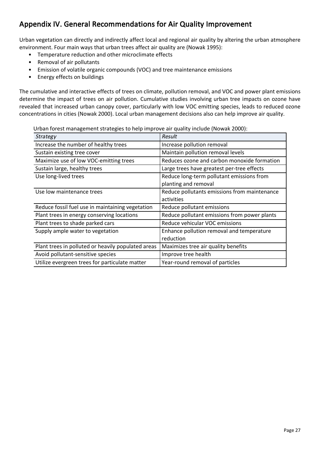## <span id="page-26-0"></span>**Appendix IV. General Recommendations for Air Quality Improvement**

Urban vegetation can directly and indirectly affect local and regional air quality by altering the urban atmosphere environment. Four main ways that urban trees affect air quality are (Nowak 1995):

- Temperature reduction and other microclimate effects
- Removal of air pollutants
- Emission of volatile organic compounds (VOC) and tree maintenance emissions
- Energy effects on buildings

The cumulative and interactive effects of trees on climate, pollution removal, and VOC and power plant emissions determine the impact of trees on air pollution. Cumulative studies involving urban tree impacts on ozone have revealed that increased urban canopy cover, particularly with low VOC emitting species, leads to reduced ozone concentrations in cities (Nowak 2000). Local urban management decisions also can help improve air quality.

Urban forest management strategies to help improve air quality include (Nowak 2000):

| Strategy                                           | Result                                       |
|----------------------------------------------------|----------------------------------------------|
| Increase the number of healthy trees               | Increase pollution removal                   |
| Sustain existing tree cover                        | Maintain pollution removal levels            |
| Maximize use of low VOC-emitting trees             | Reduces ozone and carbon monoxide formation  |
| Sustain large, healthy trees                       | Large trees have greatest per-tree effects   |
| Use long-lived trees                               | Reduce long-term pollutant emissions from    |
|                                                    | planting and removal                         |
| Use low maintenance trees                          | Reduce pollutants emissions from maintenance |
|                                                    | activities                                   |
| Reduce fossil fuel use in maintaining vegetation   | Reduce pollutant emissions                   |
| Plant trees in energy conserving locations         | Reduce pollutant emissions from power plants |
| Plant trees to shade parked cars                   | Reduce vehicular VOC emissions               |
| Supply ample water to vegetation                   | Enhance pollution removal and temperature    |
|                                                    | reduction                                    |
| Plant trees in polluted or heavily populated areas | Maximizes tree air quality benefits          |
| Avoid pollutant-sensitive species                  | Improve tree health                          |
| Utilize evergreen trees for particulate matter     | Year-round removal of particles              |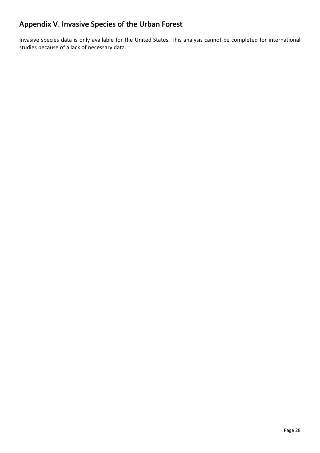## **Appendix V. Invasive Species of the Urban Forest**

Invasive species data is only available for the United States. This analysis cannot be completed for international studies because of a lack of necessary data.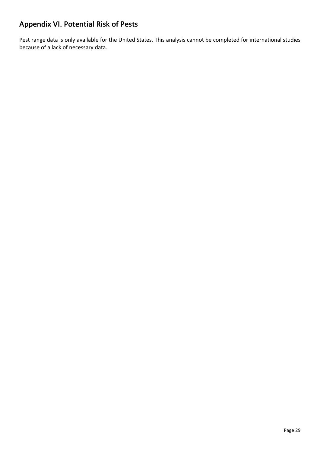## **Appendix VI. Potential Risk of Pests**

Pest range data is only available for the United States. This analysis cannot be completed for international studies because of a lack of necessary data.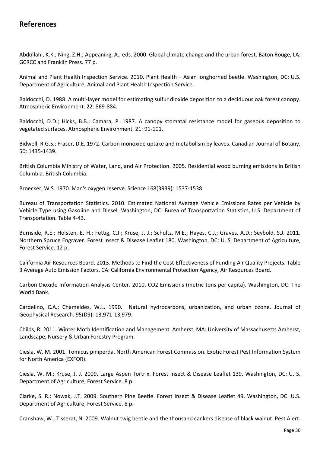### **References**

Abdollahi, K.K.; Ning, Z.H.; Appeaning, A., eds. 2000. Global climate change and the urban forest. Baton Rouge, LA: GCRCC and Franklin Press. 77 p.

Animal and Plant Health Inspection Service. 2010. Plant Health – Asian longhorned beetle. Washington, DC: U.S. Department of Agriculture, Animal and Plant Health Inspection Service.

Baldocchi, D. 1988. A multi-layer model for estimating sulfur dioxide deposition to a deciduous oak forest canopy. Atmospheric Environment. 22: 869-884.

Baldocchi, D.D.; Hicks, B.B.; Camara, P. 1987. A canopy stomatal resistance model for gaseous deposition to vegetated surfaces. Atmospheric Environment. 21: 91-101.

Bidwell, R.G.S.; Fraser, D.E. 1972. Carbon monoxide uptake and metabolism by leaves. Canadian Journal of Botany. 50: 1435-1439.

British Columbia Ministry of Water, Land, and Air Protection. 2005. Residential wood burning emissions in British Columbia. British Columbia.

Broecker, W.S. 1970. Man's oxygen reserve. Science 168(3939): 1537-1538.

Bureau of Transportation Statistics. 2010. Estimated National Average Vehicle Emissions Rates per Vehicle by Vehicle Type using Gasoline and Diesel. Washington, DC: Burea of Transportation Statistics, U.S. Department of Transportation. Table 4-43.

Burnside, R.E.; Holsten, E. H.; Fettig, C.J.; Kruse, J. J.; Schultz, M.E.; Hayes, C.J.; Graves, A.D.; Seybold, S.J. 2011. Northern Spruce Engraver. Forest Insect & Disease Leaflet 180. Washington, DC: U. S. Department of Agriculture, Forest Service. 12 p.

California Air Resources Board. 2013. Methods to Find the Cost-Effectiveness of Funding Air Quality Projects. Table 3 Average Auto Emission Factors. CA: California Environmental Protection Agency, Air Resources Board.

Carbon Dioxide Information Analysis Center. 2010. CO2 Emissions (metric tons per capita). Washington, DC: The World Bank.

Cardelino, C.A.; Chameides, W.L. 1990. Natural hydrocarbons, urbanization, and urban ozone. Journal of Geophysical Research. 95(D9): 13,971-13,979.

Childs, R. 2011. Winter Moth Identification and Management. Amherst, MA: University of Massachusetts Amherst, Landscape, Nursery & Urban Forestry Program.

Ciesla, W. M. 2001. Tomicus piniperda. North American Forest Commission. Exotic Forest Pest Information System for North America (EXFOR).

Ciesla, W. M.; Kruse, J. J. 2009. Large Aspen Tortrix. Forest Insect & Disease Leaflet 139. Washington, DC: U. S. Department of Agriculture, Forest Service. 8 p.

Clarke, S. R.; Nowak, J.T. 2009. Southern Pine Beetle. Forest Insect & Disease Leaflet 49. Washington, DC: U.S. Department of Agriculture, Forest Service. 8 p.

Cranshaw, W.; Tisserat, N. 2009. Walnut twig beetle and the thousand cankers disease of black walnut. Pest Alert.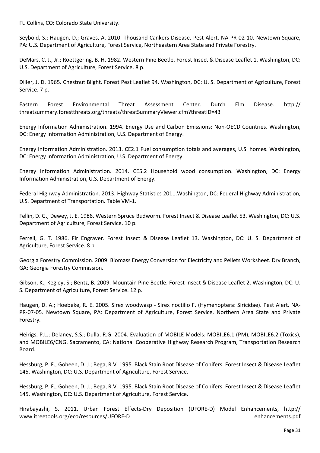Ft. Collins, CO: Colorado State University.

Seybold, S.; Haugen, D.; Graves, A. 2010. Thousand Cankers Disease. Pest Alert. NA-PR-02-10. Newtown Square, PA: U.S. Department of Agriculture, Forest Service, Northeastern Area State and Private Forestry.

DeMars, C. J., Jr.; Roettgering, B. H. 1982. Western Pine Beetle. Forest Insect & Disease Leaflet 1. Washington, DC: U.S. Department of Agriculture, Forest Service. 8 p.

Diller, J. D. 1965. Chestnut Blight. Forest Pest Leaflet 94. Washington, DC: U. S. Department of Agriculture, Forest Service. 7 p.

Eastern Forest Environmental Threat Assessment Center. Dutch Elm Disease. http:// threatsummary.forestthreats.org/threats/threatSummaryViewer.cfm?threatID=43

Energy Information Administration. 1994. Energy Use and Carbon Emissions: Non-OECD Countries. Washington, DC: Energy Information Administration, U.S. Department of Energy.

Energy Information Administration. 2013. CE2.1 Fuel consumption totals and averages, U.S. homes. Washington, DC: Energy Information Administration, U.S. Department of Energy.

Energy Information Administration. 2014. CE5.2 Household wood consumption. Washington, DC: Energy Information Administration, U.S. Department of Energy.

Federal Highway Administration. 2013. Highway Statistics 2011.Washington, DC: Federal Highway Administration, U.S. Department of Transportation. Table VM-1.

Fellin, D. G.; Dewey, J. E. 1986. Western Spruce Budworm. Forest Insect & Disease Leaflet 53. Washington, DC: U.S. Department of Agriculture, Forest Service. 10 p.

Ferrell, G. T. 1986. Fir Engraver. Forest Insect & Disease Leaflet 13. Washington, DC: U. S. Department of Agriculture, Forest Service. 8 p.

Georgia Forestry Commission. 2009. Biomass Energy Conversion for Electricity and Pellets Worksheet. Dry Branch, GA: Georgia Forestry Commission.

Gibson, K.; Kegley, S.; Bentz, B. 2009. Mountain Pine Beetle. Forest Insect & Disease Leaflet 2. Washington, DC: U. S. Department of Agriculture, Forest Service. 12 p.

Haugen, D. A.; Hoebeke, R. E. 2005. Sirex woodwasp - Sirex noctilio F. (Hymenoptera: Siricidae). Pest Alert. NA-PR-07-05. Newtown Square, PA: Department of Agriculture, Forest Service, Northern Area State and Private Forestry.

Heirigs, P.L.; Delaney, S.S.; Dulla, R.G. 2004. Evaluation of MOBILE Models: MOBILE6.1 (PM), MOBILE6.2 (Toxics), and MOBILE6/CNG. Sacramento, CA: National Cooperative Highway Research Program, Transportation Research Board.

Hessburg, P. F.; Goheen, D. J.; Bega, R.V. 1995. Black Stain Root Disease of Conifers. Forest Insect & Disease Leaflet 145. Washington, DC: U.S. Department of Agriculture, Forest Service.

Hessburg, P. F.; Goheen, D. J.; Bega, R.V. 1995. Black Stain Root Disease of Conifers. Forest Insect & Disease Leaflet 145. Washington, DC: U.S. Department of Agriculture, Forest Service.

Hirabayashi, S. 2011. Urban Forest Effects-Dry Deposition (UFORE-D) Model Enhancements, http:// www.itreetools.org/eco/resources/UFORE-D enhancements.pdf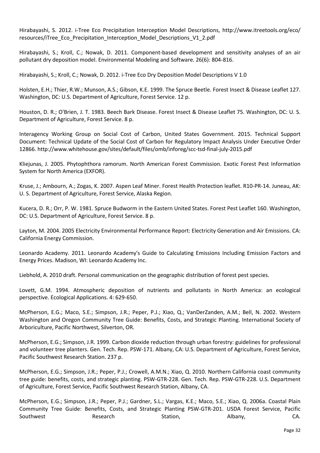Hirabayashi, S. 2012. i-Tree Eco Precipitation Interception Model Descriptions, http://www.itreetools.org/eco/ resources/iTree\_Eco\_Precipitation\_Interception\_Model\_Descriptions\_V1\_2.pdf

Hirabayashi, S.; Kroll, C.; Nowak, D. 2011. Component-based development and sensitivity analyses of an air pollutant dry deposition model. Environmental Modeling and Software. 26(6): 804-816.

Hirabayashi, S.; Kroll, C.; Nowak, D. 2012. i-Tree Eco Dry Deposition Model Descriptions V 1.0

Holsten, E.H.; Thier, R.W.; Munson, A.S.; Gibson, K.E. 1999. The Spruce Beetle. Forest Insect & Disease Leaflet 127. Washington, DC: U.S. Department of Agriculture, Forest Service. 12 p.

Houston, D. R.; O'Brien, J. T. 1983. Beech Bark Disease. Forest Insect & Disease Leaflet 75. Washington, DC: U. S. Department of Agriculture, Forest Service. 8 p.

Interagency Working Group on Social Cost of Carbon, United States Government. 2015. Technical Support Document: Technical Update of the Social Cost of Carbon for Regulatory Impact Analysis Under Executive Order 12866. http://www.whitehouse.gov/sites/default/files/omb/inforeg/scc-tsd-final-july-2015.pdf

Kliejunas, J. 2005. Phytophthora ramorum. North American Forest Commission. Exotic Forest Pest Information System for North America (EXFOR).

Kruse, J.; Ambourn, A.; Zogas, K. 2007. Aspen Leaf Miner. Forest Health Protection leaflet. R10-PR-14. Juneau, AK: U. S. Department of Agriculture, Forest Service, Alaska Region.

Kucera, D. R.; Orr, P. W. 1981. Spruce Budworm in the Eastern United States. Forest Pest Leaflet 160. Washington, DC: U.S. Department of Agriculture, Forest Service. 8 p.

Layton, M. 2004. 2005 Electricity Environmental Performance Report: Electricity Generation and Air Emissions. CA: California Energy Commission.

Leonardo Academy. 2011. Leonardo Academy's Guide to Calculating Emissions Including Emission Factors and Energy Prices. Madison, WI: Leonardo Academy Inc.

Liebhold, A. 2010 draft. Personal communication on the geographic distribution of forest pest species.

Lovett, G.M. 1994. Atmospheric deposition of nutrients and pollutants in North America: an ecological perspective. Ecological Applications. 4: 629-650.

McPherson, E.G.; Maco, S.E.; Simpson, J.R.; Peper, P.J.; Xiao, Q.; VanDerZanden, A.M.; Bell, N. 2002. Western Washington and Oregon Community Tree Guide: Benefits, Costs, and Strategic Planting. International Society of Arboriculture, Pacific Northwest, Silverton, OR.

McPherson, E.G.; Simpson, J.R. 1999. Carbon dioxide reduction through urban forestry: guidelines for professional and volunteer tree planters. Gen. Tech. Rep. PSW-171. Albany, CA: U.S. Department of Agriculture, Forest Service, Pacific Southwest Research Station. 237 p.

McPherson, E.G.; Simpson, J.R.; Peper, P.J.; Crowell, A.M.N.; Xiao, Q. 2010. Northern California coast community tree guide: benefits, costs, and strategic planting. PSW-GTR-228. Gen. Tech. Rep. PSW-GTR-228. U.S. Department of Agriculture, Forest Service, Pacific Southwest Research Station, Albany, CA.

McPherson, E.G.; Simpson, J.R.; Peper, P.J.; Gardner, S.L.; Vargas, K.E.; Maco, S.E.; Xiao, Q. 2006a. Coastal Plain Community Tree Guide: Benefits, Costs, and Strategic Planting PSW-GTR-201. USDA Forest Service, Pacific Southwest **Research** Research Station, Albany, CA.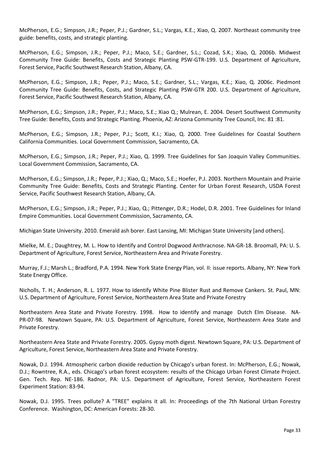McPherson, E.G.; Simpson, J.R.; Peper, P.J.; Gardner, S.L.; Vargas, K.E.; Xiao, Q. 2007. Northeast community tree guide: benefits, costs, and strategic planting.

McPherson, E.G.; Simpson, J.R.; Peper, P.J.; Maco, S.E.; Gardner, S.L.; Cozad, S.K.; Xiao, Q. 2006b. Midwest Community Tree Guide: Benefits, Costs and Strategic Planting PSW-GTR-199. U.S. Department of Agriculture, Forest Service, Pacific Southwest Research Station, Albany, CA.

McPherson, E.G.; Simpson, J.R.; Peper, P.J.; Maco, S.E.; Gardner, S.L.; Vargas, K.E.; Xiao, Q. 2006c. Piedmont Community Tree Guide: Benefits, Costs, and Strategic Planting PSW-GTR 200. U.S. Department of Agriculture, Forest Service, Pacific Southwest Research Station, Albany, CA.

McPherson, E.G.; Simpson, J.R.; Peper, P.J.; Maco, S.E.; Xiao Q.; Mulrean, E. 2004. Desert Southwest Community Tree Guide: Benefits, Costs and Strategic Planting. Phoenix, AZ: Arizona Community Tree Council, Inc. 81 :81.

McPherson, E.G.; Simpson, J.R.; Peper, P.J.; Scott, K.I.; Xiao, Q. 2000. Tree Guidelines for Coastal Southern California Communities. Local Government Commission, Sacramento, CA.

McPherson, E.G.; Simpson, J.R.; Peper, P.J.; Xiao, Q. 1999. Tree Guidelines for San Joaquin Valley Communities. Local Government Commission, Sacramento, CA.

McPherson, E.G.; Simpson, J.R.; Peper, P.J.; Xiao, Q.; Maco, S.E.; Hoefer, P.J. 2003. Northern Mountain and Prairie Community Tree Guide: Benefits, Costs and Strategic Planting. Center for Urban Forest Research, USDA Forest Service, Pacific Southwest Research Station, Albany, CA.

McPherson, E.G.; Simpson, J.R.; Peper, P.J.; Xiao, Q.; Pittenger, D.R.; Hodel, D.R. 2001. Tree Guidelines for Inland Empire Communities. Local Government Commission, Sacramento, CA.

Michigan State University. 2010. Emerald ash borer. East Lansing, MI: Michigan State University [and others].

Mielke, M. E.; Daughtrey, M. L. How to Identify and Control Dogwood Anthracnose. NA-GR-18. Broomall, PA: U. S. Department of Agriculture, Forest Service, Northeastern Area and Private Forestry.

Murray, F.J.; Marsh L.; Bradford, P.A. 1994. New York State Energy Plan, vol. II: issue reports. Albany, NY: New York State Energy Office.

Nicholls, T. H.; Anderson, R. L. 1977. How to Identify White Pine Blister Rust and Remove Cankers. St. Paul, MN: U.S. Department of Agriculture, Forest Service, Northeastern Area State and Private Forestry

Northeastern Area State and Private Forestry. 1998. How to identify and manage Dutch Elm Disease. NA-PR-07-98. Newtown Square, PA: U.S. Department of Agriculture, Forest Service, Northeastern Area State and Private Forestry.

Northeastern Area State and Private Forestry. 2005. Gypsy moth digest. Newtown Square, PA: U.S. Department of Agriculture, Forest Service, Northeastern Area State and Private Forestry.

Nowak, D.J. 1994. Atmospheric carbon dioxide reduction by Chicago's urban forest. In: McPherson, E.G.; Nowak, D.J.; Rowntree, R.A., eds. Chicago's urban forest ecosystem: results of the Chicago Urban Forest Climate Project. Gen. Tech. Rep. NE-186. Radnor, PA: U.S. Department of Agriculture, Forest Service, Northeastern Forest Experiment Station: 83-94.

Nowak, D.J. 1995. Trees pollute? A "TREE" explains it all. In: Proceedings of the 7th National Urban Forestry Conference. Washington, DC: American Forests: 28-30.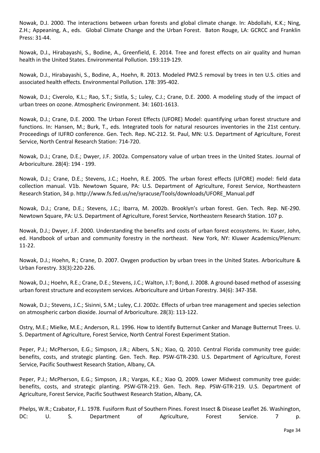Nowak, D.J. 2000. The interactions between urban forests and global climate change. In: Abdollahi, K.K.; Ning, Z.H.; Appeaning, A., eds. Global Climate Change and the Urban Forest. Baton Rouge, LA: GCRCC and Franklin Press: 31-44.

Nowak, D.J., Hirabayashi, S., Bodine, A., Greenfield, E. 2014. Tree and forest effects on air quality and human health in the United States. Environmental Pollution. 193:119-129.

Nowak, D.J., Hirabayashi, S., Bodine, A., Hoehn, R. 2013. Modeled PM2.5 removal by trees in ten U.S. cities and associated health effects. Environmental Pollution. 178: 395-402.

Nowak, D.J.; Civerolo, K.L.; Rao, S.T.; Sistla, S.; Luley, C.J.; Crane, D.E. 2000. A modeling study of the impact of urban trees on ozone. Atmospheric Environment. 34: 1601-1613.

Nowak, D.J.; Crane, D.E. 2000. The Urban Forest Effects (UFORE) Model: quantifying urban forest structure and functions. In: Hansen, M.; Burk, T., eds. Integrated tools for natural resources inventories in the 21st century. Proceedings of IUFRO conference. Gen. Tech. Rep. NC-212. St. Paul, MN: U.S. Department of Agriculture, Forest Service, North Central Research Station: 714-720.

Nowak, D.J.; Crane, D.E.; Dwyer, J.F. 2002a. Compensatory value of urban trees in the United States. Journal of Arboriculture. 28(4): 194 - 199.

Nowak, D.J.; Crane, D.E.; Stevens, J.C.; Hoehn, R.E. 2005. The urban forest effects (UFORE) model: field data collection manual. V1b. Newtown Square, PA: U.S. Department of Agriculture, Forest Service, Northeastern Research Station, 34 p. http://www.fs.fed.us/ne/syracuse/Tools/downloads/UFORE\_Manual.pdf

Nowak, D.J.; Crane, D.E.; Stevens, J.C.; Ibarra, M. 2002b. Brooklyn's urban forest. Gen. Tech. Rep. NE-290. Newtown Square, PA: U.S. Department of Agriculture, Forest Service, Northeastern Research Station. 107 p.

Nowak, D.J.; Dwyer, J.F. 2000. Understanding the benefits and costs of urban forest ecosystems. In: Kuser, John, ed. Handbook of urban and community forestry in the northeast. New York, NY: Kluwer Academics/Plenum: 11-22.

Nowak, D.J.; Hoehn, R.; Crane, D. 2007. Oxygen production by urban trees in the United States. Arboriculture & Urban Forestry. 33(3):220-226.

Nowak, D.J.; Hoehn, R.E.; Crane, D.E.; Stevens, J.C.; Walton, J.T; Bond, J. 2008. A ground-based method of assessing urban forest structure and ecosystem services. Arboriculture and Urban Forestry. 34(6): 347-358.

Nowak, D.J.; Stevens, J.C.; Sisinni, S.M.; Luley, C.J. 2002c. Effects of urban tree management and species selection on atmospheric carbon dioxide. Journal of Arboriculture. 28(3): 113-122.

Ostry, M.E.; Mielke, M.E.; Anderson, R.L. 1996. How to Identify Butternut Canker and Manage Butternut Trees. U. S. Department of Agriculture, Forest Service, North Central Forest Experiment Station.

Peper, P.J.; McPherson, E.G.; Simpson, J.R.; Albers, S.N.; Xiao, Q. 2010. Central Florida community tree guide: benefits, costs, and strategic planting. Gen. Tech. Rep. PSW-GTR-230. U.S. Department of Agriculture, Forest Service, Pacific Southwest Research Station, Albany, CA.

Peper, P.J.; McPherson, E.G.; Simpson, J.R.; Vargas, K.E.; Xiao Q. 2009. Lower Midwest community tree guide: benefits, costs, and strategic planting. PSW-GTR-219. Gen. Tech. Rep. PSW-GTR-219. U.S. Department of Agriculture, Forest Service, Pacific Southwest Research Station, Albany, CA.

Phelps, W.R.; Czabator, F.L. 1978. Fusiform Rust of Southern Pines. Forest Insect & Disease Leaflet 26. Washington, DC: U. S. Department of Agriculture, Forest Service. 7 p.